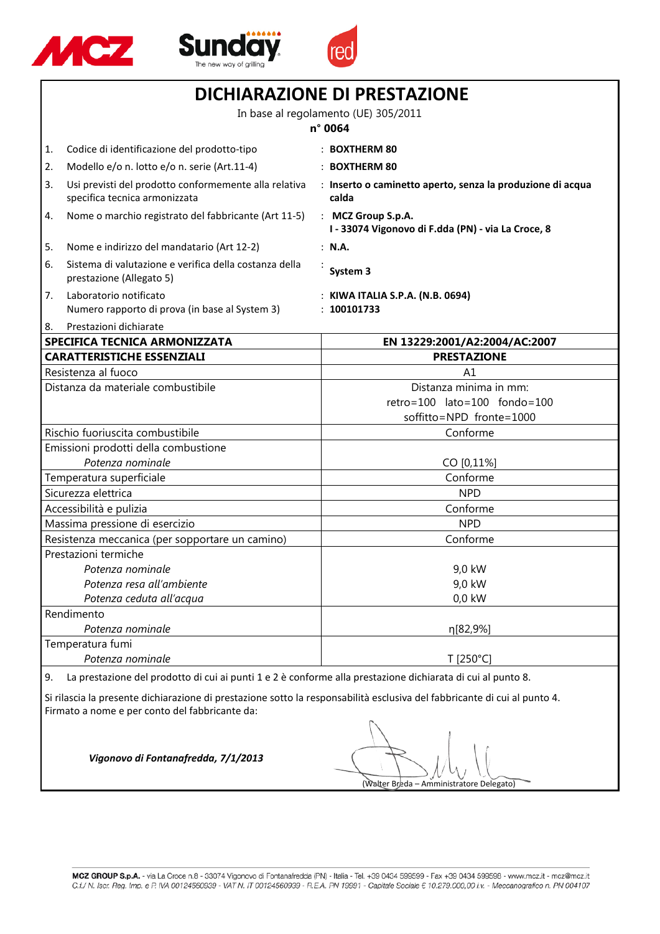





| <b>DICHIARAZIONE DI PRESTAZIONE</b>  |                                                                                        |                                                                                    |  |
|--------------------------------------|----------------------------------------------------------------------------------------|------------------------------------------------------------------------------------|--|
|                                      | In base al regolamento (UE) 305/2011<br>n° 0064                                        |                                                                                    |  |
|                                      |                                                                                        |                                                                                    |  |
| 1.                                   | Codice di identificazione del prodotto-tipo                                            | : BOXTHERM 80                                                                      |  |
| 2.                                   | Modello e/o n. lotto e/o n. serie (Art.11-4)                                           | : BOXTHERM 80                                                                      |  |
| 3.                                   | Usi previsti del prodotto conformemente alla relativa<br>specifica tecnica armonizzata | : Inserto o caminetto aperto, senza la produzione di acqua<br>calda                |  |
| 4.                                   | Nome o marchio registrato del fabbricante (Art 11-5)                                   | : MCZ Group S.p.A.<br>I - 33074 Vigonovo di F.dda (PN) - via La Croce, 8           |  |
| 5.                                   | Nome e indirizzo del mandatario (Art 12-2)                                             | : N.A.                                                                             |  |
| 6.                                   | Sistema di valutazione e verifica della costanza della<br>prestazione (Allegato 5)     | System 3                                                                           |  |
| 7.                                   | Laboratorio notificato<br>Numero rapporto di prova (in base al System 3)               | : KIWA ITALIA S.P.A. (N.B. 0694)<br>: 100101733                                    |  |
| 8.                                   | Prestazioni dichiarate                                                                 |                                                                                    |  |
|                                      | SPECIFICA TECNICA ARMONIZZATA                                                          | EN 13229:2001/A2:2004/AC:2007                                                      |  |
|                                      | <b>CARATTERISTICHE ESSENZIALI</b>                                                      | <b>PRESTAZIONE</b>                                                                 |  |
|                                      | Resistenza al fuoco                                                                    | A1                                                                                 |  |
|                                      | Distanza da materiale combustibile                                                     | Distanza minima in mm:<br>retro=100 lato=100 fondo=100<br>soffitto=NPD fronte=1000 |  |
| Rischio fuoriuscita combustibile     |                                                                                        | Conforme                                                                           |  |
| Emissioni prodotti della combustione |                                                                                        |                                                                                    |  |
| Potenza nominale                     |                                                                                        | CO [0,11%]                                                                         |  |
|                                      | Temperatura superficiale                                                               | Conforme                                                                           |  |
|                                      | Sicurezza elettrica                                                                    | <b>NPD</b>                                                                         |  |
|                                      | Accessibilità e pulizia                                                                | Conforme                                                                           |  |
|                                      | Massima pressione di esercizio                                                         | <b>NPD</b>                                                                         |  |
|                                      | Resistenza meccanica (per sopportare un camino)                                        | Conforme                                                                           |  |
| Prestazioni termiche                 |                                                                                        |                                                                                    |  |
|                                      | Potenza nominale                                                                       | 9,0 kW                                                                             |  |
| Potenza resa all'ambiente            |                                                                                        | 9,0 kW                                                                             |  |
|                                      | Potenza ceduta all'acqua                                                               | $0,0$ kW                                                                           |  |
|                                      | Rendimento                                                                             |                                                                                    |  |
|                                      | Potenza nominale                                                                       | η[82,9%]                                                                           |  |
|                                      | Temperatura fumi                                                                       |                                                                                    |  |
|                                      | Potenza nominale                                                                       | T [250°C]                                                                          |  |
|                                      |                                                                                        |                                                                                    |  |

9. La prestazione del prodotto di cui ai punti 1 e 2 è conforme alla prestazione dichiarata di cui al punto 8.

Si rilascia la presente dichiarazione di prestazione sotto la responsabilità esclusiva del fabbricante di cui al punto 4. Firmato a nome e per conto del fabbricante da:

(Walter Breda – Amministratore Delegato)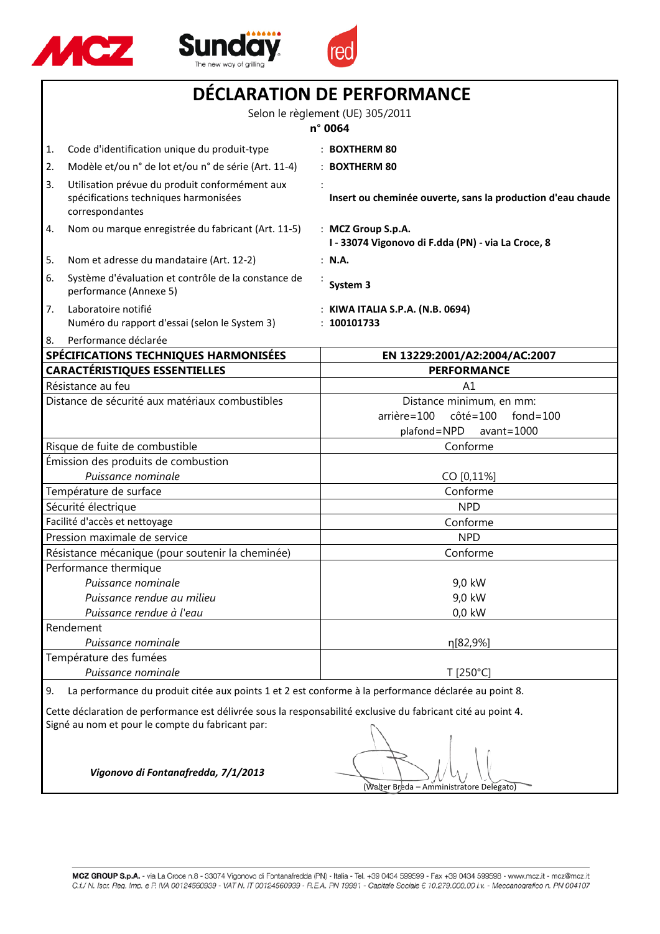





| DECLARATION DE PERFORMANCE                      |                                                                                                            |                                                                                                  |  |
|-------------------------------------------------|------------------------------------------------------------------------------------------------------------|--------------------------------------------------------------------------------------------------|--|
|                                                 | Selon le règlement (UE) 305/2011                                                                           |                                                                                                  |  |
|                                                 |                                                                                                            | n° 0064                                                                                          |  |
| 1.                                              | Code d'identification unique du produit-type                                                               | : BOXTHERM 80                                                                                    |  |
| 2.                                              | Modèle et/ou n° de lot et/ou n° de série (Art. 11-4)                                                       | : BOXTHERM 80                                                                                    |  |
| $\vert 3. \vert$                                | Utilisation prévue du produit conformément aux<br>spécifications techniques harmonisées<br>correspondantes | Insert ou cheminée ouverte, sans la production d'eau chaude                                      |  |
| 4.                                              | Nom ou marque enregistrée du fabricant (Art. 11-5)                                                         | : MCZ Group S.p.A.<br>I - 33074 Vigonovo di F.dda (PN) - via La Croce, 8                         |  |
| 5.                                              | Nom et adresse du mandataire (Art. 12-2)                                                                   | : N.A.                                                                                           |  |
| 6.                                              | Système d'évaluation et contrôle de la constance de<br>performance (Annexe 5)                              | System 3                                                                                         |  |
| 7.                                              | Laboratoire notifié<br>Numéro du rapport d'essai (selon le System 3)                                       | : KIWA ITALIA S.P.A. (N.B. 0694)<br>: 100101733                                                  |  |
| 8.                                              | Performance déclarée                                                                                       |                                                                                                  |  |
| SPÉCIFICATIONS TECHNIQUES HARMONISÉES           |                                                                                                            | EN 13229:2001/A2:2004/AC:2007                                                                    |  |
|                                                 | <b>CARACTÉRISTIQUES ESSENTIELLES</b>                                                                       | <b>PERFORMANCE</b>                                                                               |  |
|                                                 | Résistance au feu                                                                                          | A1                                                                                               |  |
| Distance de sécurité aux matériaux combustibles |                                                                                                            | Distance minimum, en mm:<br>arrière=100<br>côté=100<br>fond=100<br>plafond=NPD<br>$avant = 1000$ |  |
| Risque de fuite de combustible                  |                                                                                                            | Conforme                                                                                         |  |
| Émission des produits de combustion             |                                                                                                            |                                                                                                  |  |
| Puissance nominale                              |                                                                                                            | CO [0,11%]                                                                                       |  |
|                                                 | Température de surface                                                                                     | Conforme                                                                                         |  |
|                                                 | Sécurité électrique                                                                                        | <b>NPD</b>                                                                                       |  |
|                                                 | Facilité d'accès et nettoyage                                                                              | Conforme                                                                                         |  |
|                                                 | Pression maximale de service                                                                               | <b>NPD</b>                                                                                       |  |
|                                                 | Résistance mécanique (pour soutenir la cheminée)                                                           | Conforme                                                                                         |  |
|                                                 | Performance thermique                                                                                      |                                                                                                  |  |
| Puissance nominale                              |                                                                                                            | 9,0 kW                                                                                           |  |
| Puissance rendue au milieu                      |                                                                                                            | 9,0 kW                                                                                           |  |
| Puissance rendue à l'eau                        |                                                                                                            | $0,0$ kW                                                                                         |  |
|                                                 | Rendement                                                                                                  |                                                                                                  |  |
|                                                 | Puissance nominale                                                                                         | η[82,9%]                                                                                         |  |
|                                                 | Température des fumées                                                                                     |                                                                                                  |  |
| Puissance nominale                              |                                                                                                            | T [250°C]                                                                                        |  |
| 9.                                              | La performance du produit citée aux points 1 et 2 est conforme à la performance déclarée au point 8.       |                                                                                                  |  |

Cette déclaration de performance est délivrée sous la responsabilité exclusive du fabricant cité au point 4. Signé au nom et pour le compte du fabricant par:

(Walter Breda – Amministratore Delegato)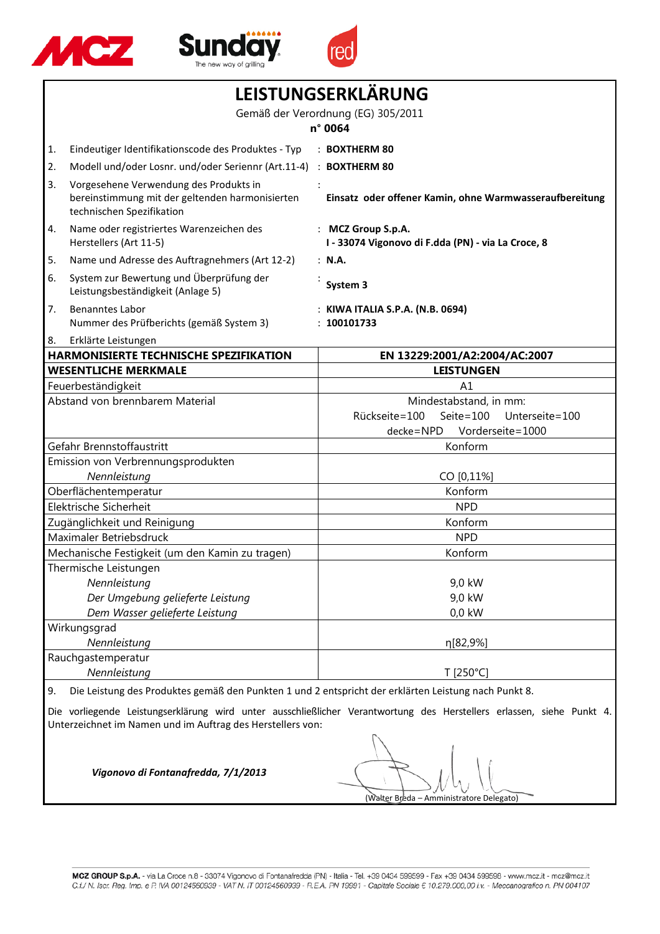





| LEISTUNGSERKLÄRUNG                                                                                                                                                                                                                  |                                                                                                                        |                                                                          |  |
|-------------------------------------------------------------------------------------------------------------------------------------------------------------------------------------------------------------------------------------|------------------------------------------------------------------------------------------------------------------------|--------------------------------------------------------------------------|--|
|                                                                                                                                                                                                                                     | Gemäß der Verordnung (EG) 305/2011                                                                                     |                                                                          |  |
|                                                                                                                                                                                                                                     |                                                                                                                        | n° 0064                                                                  |  |
| 1.                                                                                                                                                                                                                                  | Eindeutiger Identifikationscode des Produktes - Typ                                                                    | : BOXTHERM 80                                                            |  |
| 2.                                                                                                                                                                                                                                  | Modell und/oder Losnr. und/oder Seriennr (Art.11-4)                                                                    | : BOXTHERM 80                                                            |  |
| 3.                                                                                                                                                                                                                                  | Vorgesehene Verwendung des Produkts in<br>bereinstimmung mit der geltenden harmonisierten<br>technischen Spezifikation | Einsatz oder offener Kamin, ohne Warmwasseraufbereitung                  |  |
| 4.                                                                                                                                                                                                                                  | Name oder registriertes Warenzeichen des<br>Herstellers (Art 11-5)                                                     | : MCZ Group S.p.A.<br>I - 33074 Vigonovo di F.dda (PN) - via La Croce, 8 |  |
| 5.                                                                                                                                                                                                                                  | Name und Adresse des Auftragnehmers (Art 12-2)                                                                         | : N.A.                                                                   |  |
| 6.                                                                                                                                                                                                                                  | System zur Bewertung und Überprüfung der<br>Leistungsbeständigkeit (Anlage 5)                                          | System 3                                                                 |  |
| 7.                                                                                                                                                                                                                                  | <b>Benanntes Labor</b><br>Nummer des Prüfberichts (gemäß System 3)                                                     | : KIWA ITALIA S.P.A. (N.B. 0694)<br>100101733                            |  |
| 8.                                                                                                                                                                                                                                  | Erklärte Leistungen                                                                                                    |                                                                          |  |
|                                                                                                                                                                                                                                     | <b>HARMONISIERTE TECHNISCHE SPEZIFIKATION</b>                                                                          | EN 13229:2001/A2:2004/AC:2007                                            |  |
|                                                                                                                                                                                                                                     | <b>WESENTLICHE MERKMALE</b>                                                                                            | <b>LEISTUNGEN</b>                                                        |  |
|                                                                                                                                                                                                                                     | Feuerbeständigkeit                                                                                                     | A1                                                                       |  |
|                                                                                                                                                                                                                                     | Abstand von brennbarem Material                                                                                        | Mindestabstand, in mm:                                                   |  |
|                                                                                                                                                                                                                                     |                                                                                                                        | Rückseite=100<br>Seite= $100$<br>Unterseite=100                          |  |
|                                                                                                                                                                                                                                     | Gefahr Brennstoffaustritt                                                                                              | Vorderseite=1000<br>decke=NPD<br>Konform                                 |  |
|                                                                                                                                                                                                                                     | Emission von Verbrennungsprodukten                                                                                     |                                                                          |  |
| Nennleistung                                                                                                                                                                                                                        |                                                                                                                        | CO [0,11%]                                                               |  |
| Oberflächentemperatur                                                                                                                                                                                                               |                                                                                                                        | Konform                                                                  |  |
| Elektrische Sicherheit                                                                                                                                                                                                              |                                                                                                                        | <b>NPD</b>                                                               |  |
| Zugänglichkeit und Reinigung                                                                                                                                                                                                        |                                                                                                                        | Konform                                                                  |  |
| Maximaler Betriebsdruck                                                                                                                                                                                                             |                                                                                                                        | <b>NPD</b>                                                               |  |
| Mechanische Festigkeit (um den Kamin zu tragen)                                                                                                                                                                                     |                                                                                                                        | Konform                                                                  |  |
|                                                                                                                                                                                                                                     | Thermische Leistungen                                                                                                  |                                                                          |  |
|                                                                                                                                                                                                                                     | Nennleistung                                                                                                           | 9,0 kW                                                                   |  |
|                                                                                                                                                                                                                                     | Der Umgebung gelieferte Leistung                                                                                       | 9,0 kW                                                                   |  |
| Dem Wasser gelieferte Leistung                                                                                                                                                                                                      |                                                                                                                        | $0,0$ kW                                                                 |  |
| Wirkungsgrad                                                                                                                                                                                                                        |                                                                                                                        |                                                                          |  |
| Nennleistung                                                                                                                                                                                                                        |                                                                                                                        | η[82,9%]                                                                 |  |
| Rauchgastemperatur<br>Nennleistung                                                                                                                                                                                                  |                                                                                                                        | T [250°C]                                                                |  |
|                                                                                                                                                                                                                                     |                                                                                                                        |                                                                          |  |
| Die Leistung des Produktes gemäß den Punkten 1 und 2 entspricht der erklärten Leistung nach Punkt 8.<br>9.<br>Die vorliegende Leistungserklärung wird unter ausschließlicher Verantwortung des Herstellers erlassen, siehe Punkt 4. |                                                                                                                        |                                                                          |  |
|                                                                                                                                                                                                                                     | Unterzeichnet im Namen und im Auftrag des Herstellers von:                                                             |                                                                          |  |
| Vigonovo di Fontanafredda, 7/1/2013<br>(Walter Breda – Amministratore Delegato)                                                                                                                                                     |                                                                                                                        |                                                                          |  |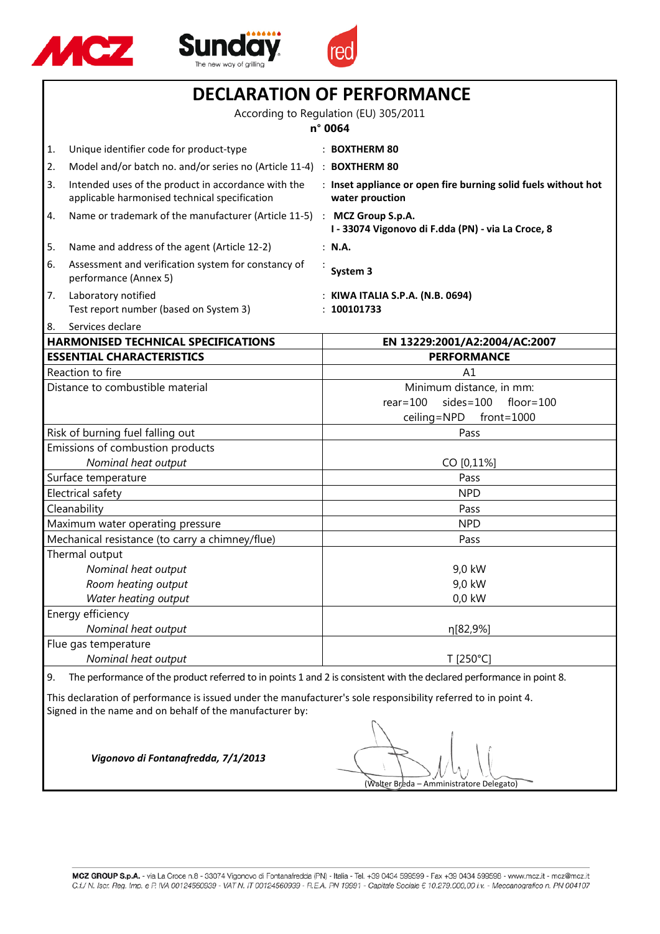





|                                                                                                                                                                            | <b>DECLARATION OF PERFORMANCE</b><br>According to Regulation (EU) 305/2011<br>n° 0064                                |                                                                                   |  |
|----------------------------------------------------------------------------------------------------------------------------------------------------------------------------|----------------------------------------------------------------------------------------------------------------------|-----------------------------------------------------------------------------------|--|
|                                                                                                                                                                            |                                                                                                                      |                                                                                   |  |
|                                                                                                                                                                            |                                                                                                                      |                                                                                   |  |
| 1.                                                                                                                                                                         | Unique identifier code for product-type                                                                              | $\therefore$ BOXTHERM 80                                                          |  |
| 2.                                                                                                                                                                         | Model and/or batch no. and/or series no (Article 11-4) : BOXTHERM 80                                                 |                                                                                   |  |
| 3.                                                                                                                                                                         | Intended uses of the product in accordance with the<br>applicable harmonised technical specification                 | : Inset appliance or open fire burning solid fuels without hot<br>water prouction |  |
| 4.                                                                                                                                                                         | Name or trademark of the manufacturer (Article 11-5) : MCZ Group S.p.A.                                              | I - 33074 Vigonovo di F.dda (PN) - via La Croce, 8                                |  |
| 5.                                                                                                                                                                         | Name and address of the agent (Article 12-2)                                                                         | : N.A.                                                                            |  |
| 6.                                                                                                                                                                         | Assessment and verification system for constancy of<br>performance (Annex 5)                                         | System 3                                                                          |  |
| 7.                                                                                                                                                                         | Laboratory notified<br>Test report number (based on System 3)                                                        | : KIWA ITALIA S.P.A. (N.B. 0694)<br>: 100101733                                   |  |
| 8.                                                                                                                                                                         | Services declare                                                                                                     |                                                                                   |  |
|                                                                                                                                                                            | <b>HARMONISED TECHNICAL SPECIFICATIONS</b>                                                                           | EN 13229:2001/A2:2004/AC:2007                                                     |  |
|                                                                                                                                                                            | <b>ESSENTIAL CHARACTERISTICS</b>                                                                                     | <b>PERFORMANCE</b>                                                                |  |
|                                                                                                                                                                            | Reaction to fire                                                                                                     | A <sub>1</sub>                                                                    |  |
|                                                                                                                                                                            | Distance to combustible material                                                                                     | Minimum distance, in mm:                                                          |  |
|                                                                                                                                                                            |                                                                                                                      | $rear = 100$<br>$sides = 100$<br>floor= $100$                                     |  |
|                                                                                                                                                                            |                                                                                                                      | ceiling=NPD<br>$front=1000$                                                       |  |
|                                                                                                                                                                            | Risk of burning fuel falling out                                                                                     | Pass                                                                              |  |
| Emissions of combustion products<br>Nominal heat output                                                                                                                    |                                                                                                                      | CO [0,11%]                                                                        |  |
|                                                                                                                                                                            |                                                                                                                      | Pass                                                                              |  |
| Surface temperature<br>Electrical safety                                                                                                                                   |                                                                                                                      | <b>NPD</b>                                                                        |  |
| Cleanability                                                                                                                                                               |                                                                                                                      | Pass                                                                              |  |
| Maximum water operating pressure                                                                                                                                           |                                                                                                                      | <b>NPD</b>                                                                        |  |
| Mechanical resistance (to carry a chimney/flue)                                                                                                                            |                                                                                                                      | Pass                                                                              |  |
|                                                                                                                                                                            | Thermal output                                                                                                       |                                                                                   |  |
|                                                                                                                                                                            | Nominal heat output                                                                                                  | 9,0 kW                                                                            |  |
|                                                                                                                                                                            | Room heating output                                                                                                  | 9,0 kW                                                                            |  |
|                                                                                                                                                                            | Water heating output                                                                                                 | $0,0$ kW                                                                          |  |
|                                                                                                                                                                            | Energy efficiency                                                                                                    |                                                                                   |  |
| Nominal heat output                                                                                                                                                        |                                                                                                                      | η[82,9%]                                                                          |  |
|                                                                                                                                                                            | Flue gas temperature                                                                                                 |                                                                                   |  |
|                                                                                                                                                                            | Nominal heat output                                                                                                  | T [250°C]                                                                         |  |
| 9.                                                                                                                                                                         | The performance of the product referred to in points 1 and 2 is consistent with the declared performance in point 8. |                                                                                   |  |
| This declaration of performance is issued under the manufacturer's sole responsibility referred to in point 4.<br>Signed in the name and on behalf of the manufacturer by: |                                                                                                                      |                                                                                   |  |
| Vigonovo di Fontanafredda, 7/1/2013                                                                                                                                        |                                                                                                                      |                                                                                   |  |
|                                                                                                                                                                            |                                                                                                                      |                                                                                   |  |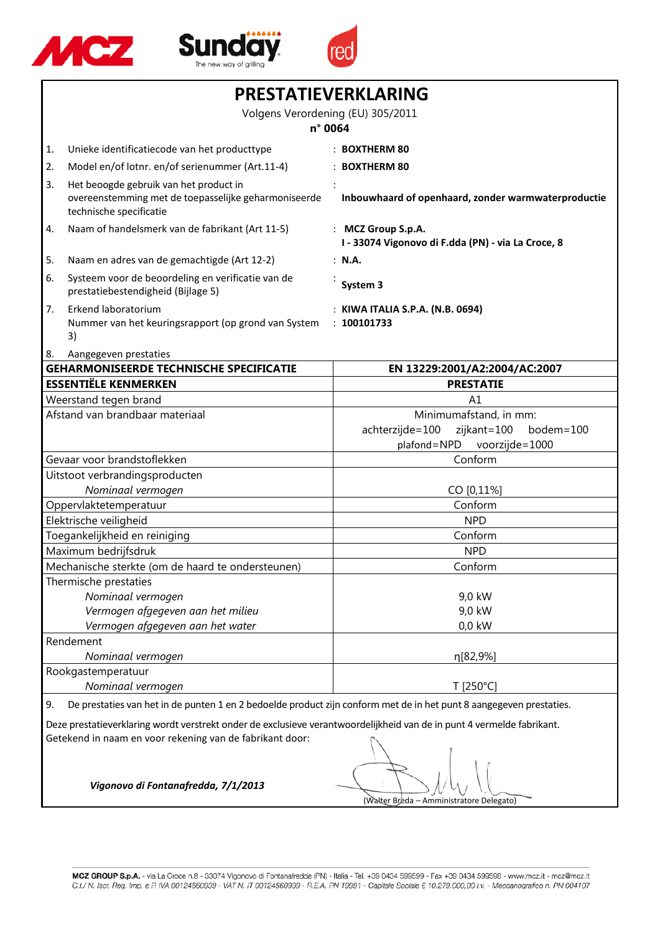





| PRESTATIEVERKLARING                          |                                                                                                                                                                                    |                                                                                                        |  |
|----------------------------------------------|------------------------------------------------------------------------------------------------------------------------------------------------------------------------------------|--------------------------------------------------------------------------------------------------------|--|
| Volgens Verordening (EU) 305/2011<br>n° 0064 |                                                                                                                                                                                    |                                                                                                        |  |
| 1.                                           | Unieke identificatiecode van het producttype                                                                                                                                       | : BOXTHERM 80                                                                                          |  |
| 2.                                           | Model en/of lotnr. en/of serienummer (Art.11-4)                                                                                                                                    | : BOXTHERM 80                                                                                          |  |
| 3.                                           | Het beoogde gebruik van het product in<br>overeenstemming met de toepasselijke geharmoniseerde<br>technische specificatie                                                          | Inbouwhaard of openhaard, zonder warmwaterproductie                                                    |  |
| 4.                                           | Naam of handelsmerk van de fabrikant (Art 11-5)                                                                                                                                    | : MCZ Group S.p.A.<br>I - 33074 Vigonovo di F.dda (PN) - via La Croce, 8                               |  |
| 5.                                           | Naam en adres van de gemachtigde (Art 12-2)                                                                                                                                        | : N.A.                                                                                                 |  |
| 6.                                           | Systeem voor de beoordeling en verificatie van de<br>prestatiebestendigheid (Bijlage 5)                                                                                            | System 3                                                                                               |  |
| 7.                                           | Erkend laboratorium<br>Nummer van het keuringsrapport (op grond van System<br>3)                                                                                                   | : KIWA ITALIA S.P.A. (N.B. 0694)<br>: 100101733                                                        |  |
| 8.                                           | Aangegeven prestaties                                                                                                                                                              |                                                                                                        |  |
|                                              | <b>GEHARMONISEERDE TECHNISCHE SPECIFICATIE</b>                                                                                                                                     | EN 13229:2001/A2:2004/AC:2007                                                                          |  |
|                                              | <b>ESSENTIËLE KENMERKEN</b>                                                                                                                                                        | <b>PRESTATIE</b>                                                                                       |  |
|                                              | Weerstand tegen brand                                                                                                                                                              | A1                                                                                                     |  |
| Afstand van brandbaar materiaal              |                                                                                                                                                                                    | Minimumafstand, in mm:<br>achterzijde=100<br>zijkant=100<br>bodem=100<br>plafond=NPD<br>voorzijde=1000 |  |
|                                              | Gevaar voor brandstoflekken                                                                                                                                                        | Conform                                                                                                |  |
| Uitstoot verbrandingsproducten               |                                                                                                                                                                                    |                                                                                                        |  |
| Nominaal vermogen                            |                                                                                                                                                                                    | CO [0,11%]                                                                                             |  |
|                                              | Oppervlaktetemperatuur                                                                                                                                                             | Conform                                                                                                |  |
| Elektrische veiligheid                       |                                                                                                                                                                                    | <b>NPD</b>                                                                                             |  |
| Toegankelijkheid en reiniging                |                                                                                                                                                                                    | Conform                                                                                                |  |
| Maximum bedrijfsdruk                         |                                                                                                                                                                                    | <b>NPD</b>                                                                                             |  |
|                                              | Mechanische sterkte (om de haard te ondersteunen)                                                                                                                                  | Conform                                                                                                |  |
|                                              | Thermische prestaties                                                                                                                                                              |                                                                                                        |  |
|                                              | Nominaal vermogen                                                                                                                                                                  | 9,0 kW                                                                                                 |  |
| Vermogen afgegeven aan het milieu            |                                                                                                                                                                                    | 9,0 kW<br>0,0 kW                                                                                       |  |
|                                              | Vermogen afgegeven aan het water<br>Rendement                                                                                                                                      |                                                                                                        |  |
|                                              | Nominaal vermogen                                                                                                                                                                  | η[82,9%]                                                                                               |  |
| Rookgastemperatuur                           |                                                                                                                                                                                    |                                                                                                        |  |
| Nominaal vermogen                            |                                                                                                                                                                                    | T [250°C]                                                                                              |  |
| 9.                                           | De prestaties van het in de punten 1 en 2 bedoelde product zijn conform met de in het punt 8 aangegeven prestaties.                                                                |                                                                                                        |  |
|                                              |                                                                                                                                                                                    |                                                                                                        |  |
|                                              | Deze prestatieverklaring wordt verstrekt onder de exclusieve verantwoordelijkheid van de in punt 4 vermelde fabrikant.<br>Getekend in naam en voor rekening van de fabrikant door: |                                                                                                        |  |
|                                              | Vigonovo di Fontanafredda, 7/1/2013<br>(Walter Breda – Amministratore Delegato)                                                                                                    |                                                                                                        |  |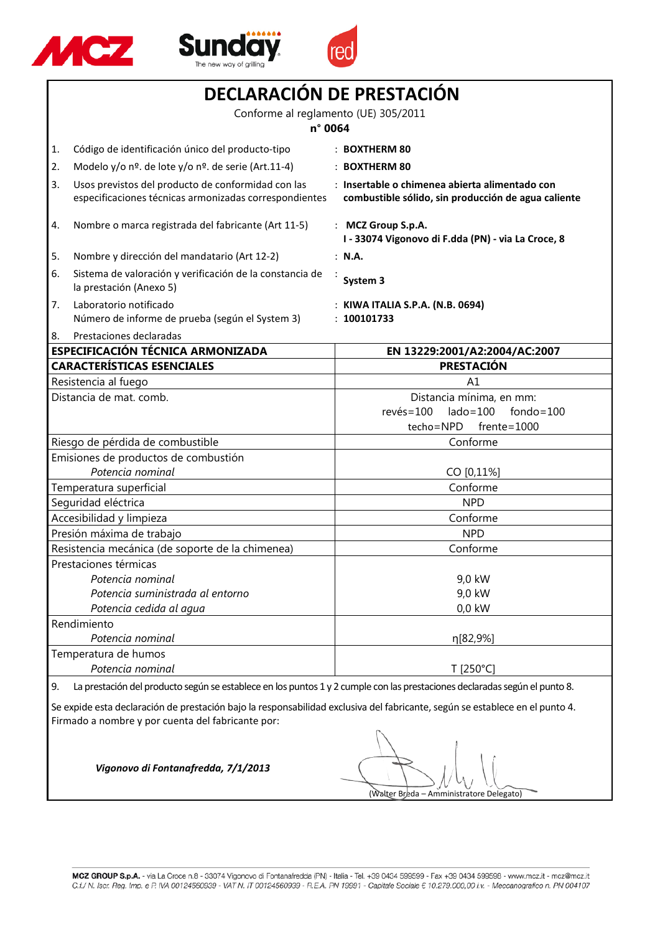





| DECLARACIÓN DE PRESTACIÓN                                                                                                                                                         |                                                                                                                            |                                                                                                       |
|-----------------------------------------------------------------------------------------------------------------------------------------------------------------------------------|----------------------------------------------------------------------------------------------------------------------------|-------------------------------------------------------------------------------------------------------|
| Conforme al reglamento (UE) 305/2011                                                                                                                                              |                                                                                                                            |                                                                                                       |
| n° 0064                                                                                                                                                                           |                                                                                                                            |                                                                                                       |
| 1.                                                                                                                                                                                | Código de identificación único del producto-tipo                                                                           | : BOXTHERM 80                                                                                         |
| 2.                                                                                                                                                                                | Modelo y/o nº. de lote y/o nº. de serie (Art.11-4)                                                                         | : BOXTHERM 80                                                                                         |
| 3.                                                                                                                                                                                | Usos previstos del producto de conformidad con las<br>especificaciones técnicas armonizadas correspondientes               | : Insertable o chimenea abierta alimentado con<br>combustible sólido, sin producción de agua caliente |
| 4.                                                                                                                                                                                | Nombre o marca registrada del fabricante (Art 11-5)                                                                        | : MCZ Group S.p.A.<br>I - 33074 Vigonovo di F.dda (PN) - via La Croce, 8                              |
| 5.                                                                                                                                                                                | Nombre y dirección del mandatario (Art 12-2)                                                                               | : N.A.                                                                                                |
| 6.                                                                                                                                                                                | Sistema de valoración y verificación de la constancia de<br>la prestación (Anexo 5)                                        | System 3                                                                                              |
| 7.                                                                                                                                                                                | Laboratorio notificado<br>Número de informe de prueba (según el System 3)                                                  | : KIWA ITALIA S.P.A. (N.B. 0694)<br>: 100101733                                                       |
| 8.                                                                                                                                                                                | Prestaciones declaradas                                                                                                    |                                                                                                       |
|                                                                                                                                                                                   | ESPECIFICACIÓN TÉCNICA ARMONIZADA                                                                                          | EN 13229:2001/A2:2004/AC:2007                                                                         |
|                                                                                                                                                                                   | <b>CARACTERÍSTICAS ESENCIALES</b>                                                                                          | <b>PRESTACIÓN</b>                                                                                     |
|                                                                                                                                                                                   | Resistencia al fuego                                                                                                       | Α1                                                                                                    |
|                                                                                                                                                                                   | Distancia de mat. comb.                                                                                                    | Distancia mínima, en mm:                                                                              |
|                                                                                                                                                                                   |                                                                                                                            | $rev\acute{e}s = 100$<br>$lado = 100$<br>$fondo = 100$                                                |
|                                                                                                                                                                                   |                                                                                                                            | techo=NPD<br>$f$ rente= $1000$                                                                        |
|                                                                                                                                                                                   | Riesgo de pérdida de combustible                                                                                           | Conforme                                                                                              |
| Emisiones de productos de combustión<br>Potencia nominal                                                                                                                          |                                                                                                                            | CO [0,11%]                                                                                            |
| Temperatura superficial                                                                                                                                                           |                                                                                                                            | Conforme                                                                                              |
| Seguridad eléctrica                                                                                                                                                               |                                                                                                                            | <b>NPD</b>                                                                                            |
| Accesibilidad y limpieza                                                                                                                                                          |                                                                                                                            | Conforme                                                                                              |
| Presión máxima de trabajo                                                                                                                                                         |                                                                                                                            | <b>NPD</b>                                                                                            |
| Resistencia mecánica (de soporte de la chimenea)                                                                                                                                  |                                                                                                                            | Conforme                                                                                              |
| Prestaciones térmicas                                                                                                                                                             |                                                                                                                            |                                                                                                       |
|                                                                                                                                                                                   | Potencia nominal                                                                                                           | 9,0 kW                                                                                                |
|                                                                                                                                                                                   | Potencia suministrada al entorno                                                                                           | 9,0 kW                                                                                                |
|                                                                                                                                                                                   | Potencia cedida al agua                                                                                                    | 0,0 kW                                                                                                |
|                                                                                                                                                                                   | Rendimiento                                                                                                                |                                                                                                       |
| Potencia nominal                                                                                                                                                                  |                                                                                                                            | η[82,9%]                                                                                              |
|                                                                                                                                                                                   | Temperatura de humos<br>Potencia nominal<br>T [250°C]                                                                      |                                                                                                       |
| 9.                                                                                                                                                                                | La prestación del producto según se establece en los puntos 1 y 2 cumple con las prestaciones declaradas según el punto 8. |                                                                                                       |
| Se expide esta declaración de prestación bajo la responsabilidad exclusiva del fabricante, según se establece en el punto 4.<br>Firmado a nombre y por cuenta del fabricante por: |                                                                                                                            |                                                                                                       |
| Vigonovo di Fontanafredda, 7/1/2013<br>(Walter Breda – Amministratore Delegato)                                                                                                   |                                                                                                                            |                                                                                                       |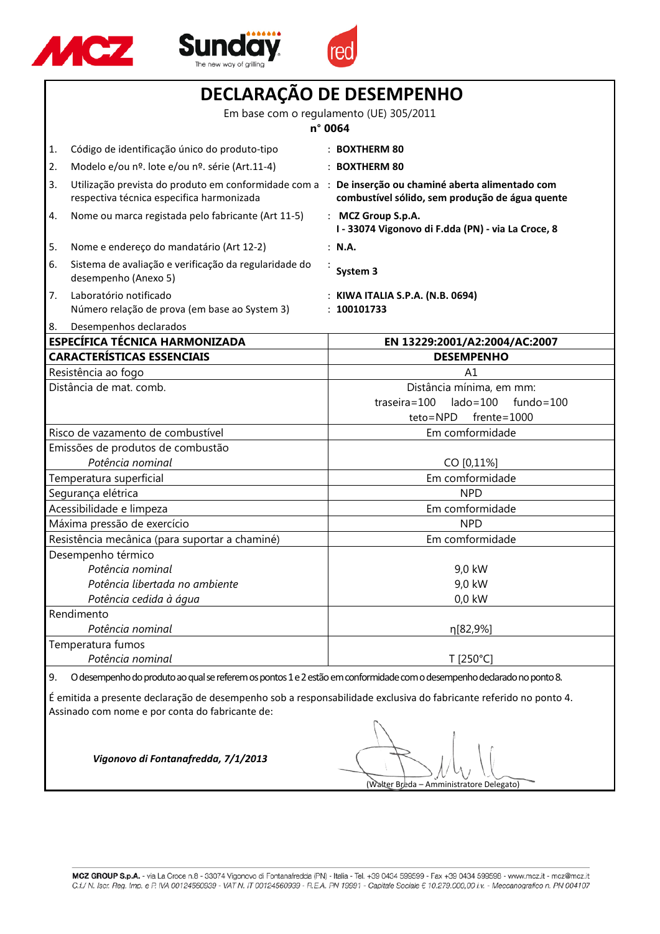





| DECLARAÇÃO DE DESEMPENHO                                                      |                                                                                                                         |                                                                                                                                                        |  |
|-------------------------------------------------------------------------------|-------------------------------------------------------------------------------------------------------------------------|--------------------------------------------------------------------------------------------------------------------------------------------------------|--|
| Em base com o regulamento (UE) 305/2011                                       |                                                                                                                         |                                                                                                                                                        |  |
| n° 0064                                                                       |                                                                                                                         |                                                                                                                                                        |  |
| Código de identificação único do produto-tipo<br>1.                           |                                                                                                                         | $:$ BOXTHERM 80                                                                                                                                        |  |
| 2.<br>Modelo e/ou nº. lote e/ou nº. série (Art.11-4)                          |                                                                                                                         | : BOXTHERM 80                                                                                                                                          |  |
| 3.<br>respectiva técnica especifica harmonizada                               |                                                                                                                         | Utilização prevista do produto em conformidade com a : De inserção ou chaminé aberta alimentado com<br>combustível sólido, sem produção de água quente |  |
| Nome ou marca registada pelo fabricante (Art 11-5)<br>4.                      |                                                                                                                         | : MCZ Group S.p.A.<br>I - 33074 Vigonovo di F.dda (PN) - via La Croce, 8                                                                               |  |
| Nome e endereço do mandatário (Art 12-2)<br>5.                                |                                                                                                                         | : N.A.                                                                                                                                                 |  |
| 6.<br>desempenho (Anexo 5)                                                    | Sistema de avaliação e verificação da regularidade do                                                                   | System 3                                                                                                                                               |  |
| Laboratório notificado<br>7.<br>Número relação de prova (em base ao System 3) |                                                                                                                         | : KIWA ITALIA S.P.A. (N.B. 0694)<br>: 100101733                                                                                                        |  |
| Desempenhos declarados<br>8.<br><b>ESPECÍFICA TÉCNICA HARMONIZADA</b>         |                                                                                                                         | EN 13229:2001/A2:2004/AC:2007                                                                                                                          |  |
| <b>CARACTERÍSTICAS ESSENCIAIS</b>                                             |                                                                                                                         | <b>DESEMPENHO</b>                                                                                                                                      |  |
| Resistência ao fogo<br>A1                                                     |                                                                                                                         |                                                                                                                                                        |  |
| Distância de mat. comb.                                                       |                                                                                                                         | Distância mínima, em mm:<br>$\text{lado} = 100$<br>$traseira = 100$<br>fundo=100<br>teto=NPD<br>$f$ rente=1000                                         |  |
| Risco de vazamento de combustível<br>Em comformidade                          |                                                                                                                         |                                                                                                                                                        |  |
|                                                                               | Emissões de produtos de combustão                                                                                       |                                                                                                                                                        |  |
| Potência nominal                                                              |                                                                                                                         | CO [0,11%]                                                                                                                                             |  |
| Temperatura superficial                                                       |                                                                                                                         | Em comformidade                                                                                                                                        |  |
| Segurança elétrica                                                            |                                                                                                                         | <b>NPD</b>                                                                                                                                             |  |
| Acessibilidade e limpeza                                                      |                                                                                                                         | Em comformidade                                                                                                                                        |  |
| Máxima pressão de exercício                                                   |                                                                                                                         | <b>NPD</b>                                                                                                                                             |  |
| Resistência mecânica (para suportar a chaminé)<br>Em comformidade             |                                                                                                                         |                                                                                                                                                        |  |
| Desempenho térmico                                                            |                                                                                                                         |                                                                                                                                                        |  |
| Potência nominal                                                              |                                                                                                                         | 9,0 kW                                                                                                                                                 |  |
| Potência libertada no ambiente                                                |                                                                                                                         | 9,0 kW                                                                                                                                                 |  |
| Potência cedida à água<br>0,0 kW                                              |                                                                                                                         |                                                                                                                                                        |  |
| Rendimento                                                                    |                                                                                                                         |                                                                                                                                                        |  |
| Potência nominal                                                              |                                                                                                                         | η[82,9%]                                                                                                                                               |  |
| Temperatura fumos                                                             |                                                                                                                         |                                                                                                                                                        |  |
| Potência nominal<br>T [250°C]                                                 |                                                                                                                         |                                                                                                                                                        |  |
| 9.                                                                            | O desempenho do produto ao qual se referem os pontos 1 e 2 estão em conformidade com o desempenho declarado no ponto 8. |                                                                                                                                                        |  |

É emitida a presente declaração de desempenho sob a responsabilidade exclusiva do fabricante referido no ponto 4. Assinado com nome e por conta do fabricante de:

(Walter Breda – Amministratore Delegato)

MCZ GROUP S.p.A. - via La Croce n.8 - 33074 Vigonovo di Fontanafredda (PN) - Italia - Tel. +39 0434 599599 - Fax +39 0434 599598 - www.mcz.it - mcz@mcz.it C.f./ N. Iscr. Reg. Imp. e P. IVA 00124560939 - VAT N. IT 00124560939 - R.E.A. PN 19991 - Capitale Sociale € 10.279.000,00 i.v. - Meccanografico n. PN 004107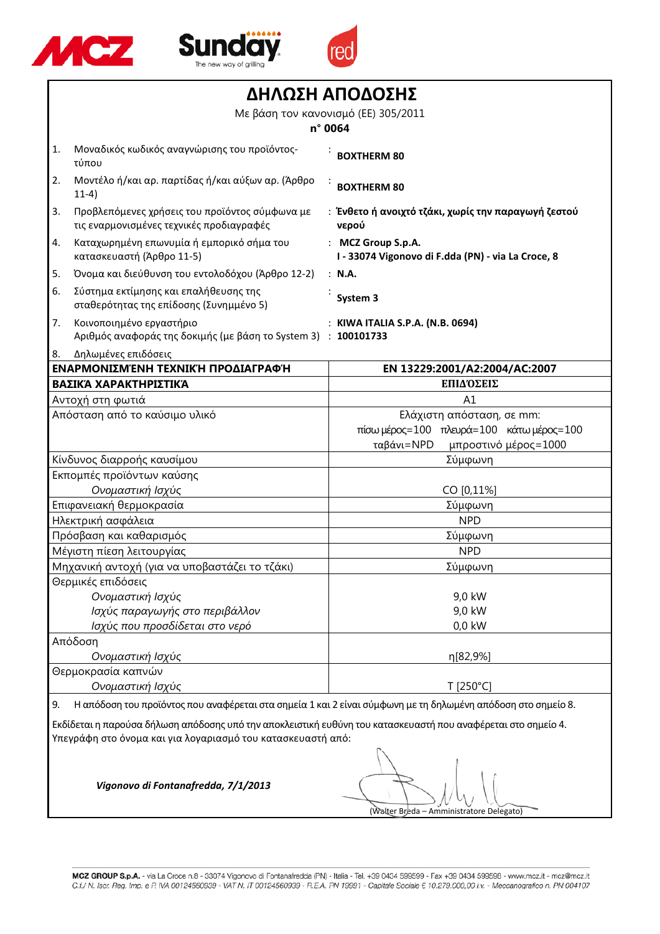





|                                                                                                                                                                              | ΔΗΛΩΣΗ ΑΠΟΔΟΣΗΣ                                                                            |                                                                                                             |  |
|------------------------------------------------------------------------------------------------------------------------------------------------------------------------------|--------------------------------------------------------------------------------------------|-------------------------------------------------------------------------------------------------------------|--|
| Με βάση τον κανονισμό (ΕΕ) 305/2011                                                                                                                                          |                                                                                            |                                                                                                             |  |
| n° 0064                                                                                                                                                                      |                                                                                            |                                                                                                             |  |
| 1.                                                                                                                                                                           | Μοναδικός κωδικός αναγνώρισης του προϊόντος-<br>τύπου                                      | <b>BOXTHERM 80</b>                                                                                          |  |
| 2.                                                                                                                                                                           | Μοντέλο ή/και αρ. παρτίδας ή/και αύξων αρ. (Άρθρο<br>$11-4)$                               | <b>BOXTHERM 80</b>                                                                                          |  |
| 3.                                                                                                                                                                           | Προβλεπόμενες χρήσεις του προϊόντος σύμφωνα με<br>τις εναρμονισμένες τεχνικές προδιαγραφές | : Ένθετο ή ανοιχτό τζάκι, χωρίς την παραγωγή ζεστού<br>νερού                                                |  |
| 4.                                                                                                                                                                           | Καταχωρημένη επωνυμία ή εμπορικό σήμα του<br>κατασκευαστή (Άρθρο 11-5)                     | : MCZ Group S.p.A.<br>I - 33074 Vigonovo di F.dda (PN) - via La Croce, 8                                    |  |
| 5.                                                                                                                                                                           | Όνομα και διεύθυνση του εντολοδόχου (Άρθρο 12-2)                                           | : N.A.                                                                                                      |  |
| 6.                                                                                                                                                                           | Σύστημα εκτίμησης και επαλήθευσης της<br>σταθερότητας της επίδοσης (Συνημμένο 5)           | System 3                                                                                                    |  |
| 7.                                                                                                                                                                           | Κοινοποιημένο εργαστήριο<br>Αριθμός αναφοράς της δοκιμής (με βάση το System 3) : 100101733 | : KIWA ITALIA S.P.A. (N.B. 0694)                                                                            |  |
| 8.                                                                                                                                                                           | Δηλωμένες επιδόσεις                                                                        |                                                                                                             |  |
|                                                                                                                                                                              | ΕΝΑΡΜΟΝΙΣΜΈΝΗ ΤΕΧΝΙΚΉ ΠΡΟΔΙΑΓΡΑΦΉ                                                          | EN 13229:2001/A2:2004/AC:2007                                                                               |  |
|                                                                                                                                                                              | ΒΑΣΙΚΆ ΧΑΡΑΚΤΗΡΙΣΤΙΚΆ                                                                      | ΕΠΙΔΌΣΕΙΣ                                                                                                   |  |
|                                                                                                                                                                              | Αντοχή στη φωτιά                                                                           | A1                                                                                                          |  |
| Απόσταση από το καύσιμο υλικό                                                                                                                                                |                                                                                            | Ελάχιστη απόσταση, σε mm:<br>πίσω μέρος=100 πλευρά=100 κάτω μέρος=100<br>ταβάνι=NPD<br>μπροστινό μέρος=1000 |  |
| Κίνδυνος διαρροής καυσίμου                                                                                                                                                   |                                                                                            | Σύμφωνη                                                                                                     |  |
|                                                                                                                                                                              | Εκπομπές προϊόντων καύσης                                                                  |                                                                                                             |  |
| Ονομαστική Ισχύς                                                                                                                                                             |                                                                                            | CO [0,11%]                                                                                                  |  |
|                                                                                                                                                                              | Επιφανειακή θερμοκρασία                                                                    | Σύμφωνη                                                                                                     |  |
| Ηλεκτρική ασφάλεια                                                                                                                                                           |                                                                                            | <b>NPD</b>                                                                                                  |  |
|                                                                                                                                                                              | Πρόσβαση και καθαρισμός                                                                    | Σύμφωνη                                                                                                     |  |
|                                                                                                                                                                              | Μέγιστη πίεση λειτουργίας                                                                  | <b>NPD</b>                                                                                                  |  |
|                                                                                                                                                                              | Μηχανική αντοχή (για να υποβαστάζει το τζάκι)                                              | Σύμφωνη                                                                                                     |  |
|                                                                                                                                                                              | Θερμικές επιδόσεις                                                                         |                                                                                                             |  |
|                                                                                                                                                                              | Ονομαστική Ισχύς                                                                           | 9,0 kW                                                                                                      |  |
|                                                                                                                                                                              | Ισχύς παραγωγής στο περιβάλλον                                                             | 9,0 kW                                                                                                      |  |
|                                                                                                                                                                              | Ισχύς που προσδίδεται στο νερό                                                             | $0,0$ kW                                                                                                    |  |
| Απόδοση<br>Ονομαστική Ισχύς                                                                                                                                                  |                                                                                            | η[82,9%]                                                                                                    |  |
|                                                                                                                                                                              | Θερμοκρασία καπνών                                                                         |                                                                                                             |  |
|                                                                                                                                                                              | Ονομαστική Ισχύς<br>T [250°C]                                                              |                                                                                                             |  |
| Η απόδοση του προϊόντος που αναφέρεται στα σημεία 1 και 2 είναι σύμφωνη με τη δηλωμένη απόδοση στο σημείο 8.<br>9.                                                           |                                                                                            |                                                                                                             |  |
| Εκδίδεται η παρούσα δήλωση απόδοσης υπό την αποκλειστική ευθύνη του κατασκευαστή που αναφέρεται στο σημείο 4.<br>Υπεγράφη στο όνομα και για λογαριασμό του κατασκευαστή από: |                                                                                            |                                                                                                             |  |

(Walter Breda – Amministratore Delegato)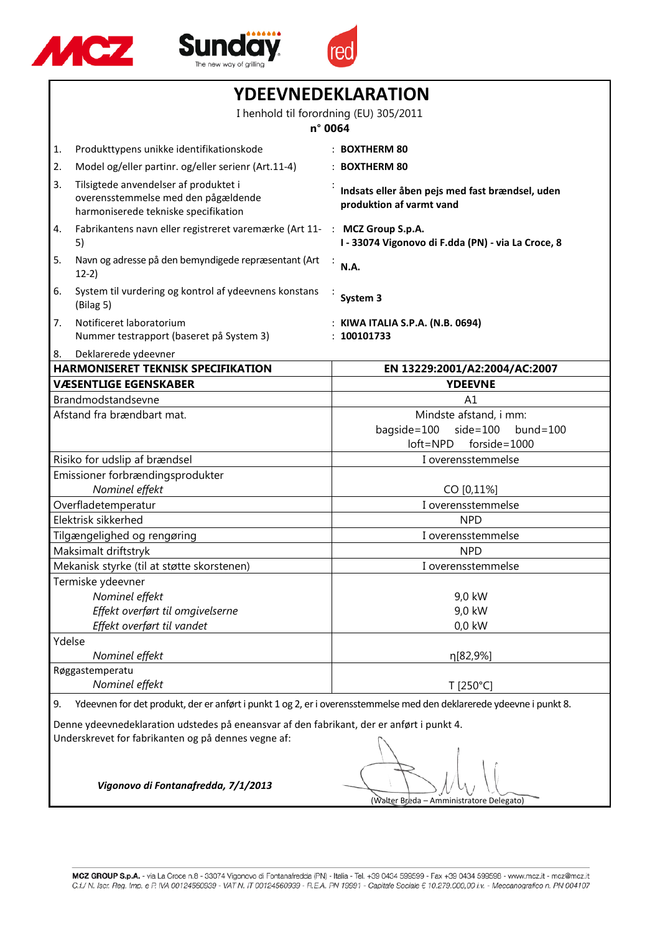





| YDEEVNEDEKLARATION                                                                                                                               |                                                                                                                      |                                                                                                    |  |
|--------------------------------------------------------------------------------------------------------------------------------------------------|----------------------------------------------------------------------------------------------------------------------|----------------------------------------------------------------------------------------------------|--|
|                                                                                                                                                  | I henhold til forordning (EU) 305/2011                                                                               |                                                                                                    |  |
|                                                                                                                                                  |                                                                                                                      | n° 0064                                                                                            |  |
| 1.                                                                                                                                               | Produkttypens unikke identifikationskode                                                                             | : BOXTHERM 80                                                                                      |  |
| 2.                                                                                                                                               | Model og/eller partinr. og/eller serienr (Art.11-4)                                                                  | : BOXTHERM 80                                                                                      |  |
| 3.                                                                                                                                               | Tilsigtede anvendelser af produktet i<br>overensstemmelse med den pågældende<br>harmoniserede tekniske specifikation | Indsats eller åben pejs med fast brændsel, uden<br>produktion af varmt vand                        |  |
| 4.                                                                                                                                               | Fabrikantens navn eller registreret varemærke (Art 11-<br>5)                                                         | : MCZ Group S.p.A.<br>I - 33074 Vigonovo di F.dda (PN) - via La Croce, 8                           |  |
| 5.                                                                                                                                               | Navn og adresse på den bemyndigede repræsentant (Art<br>$12-2)$                                                      | N.A.                                                                                               |  |
| 6.                                                                                                                                               | System til vurdering og kontrol af ydeevnens konstans<br>(Bilag 5)                                                   | System 3                                                                                           |  |
| 7.                                                                                                                                               | Notificeret laboratorium<br>Nummer testrapport (baseret på System 3)                                                 | : KIWA ITALIA S.P.A. (N.B. 0694)<br>: 100101733                                                    |  |
| 8.                                                                                                                                               | Deklarerede ydeevner                                                                                                 |                                                                                                    |  |
|                                                                                                                                                  | <b>HARMONISERET TEKNISK SPECIFIKATION</b>                                                                            | EN 13229:2001/A2:2004/AC:2007                                                                      |  |
|                                                                                                                                                  | <b>VÆSENTLIGE EGENSKABER</b>                                                                                         | <b>YDEEVNE</b>                                                                                     |  |
|                                                                                                                                                  | Brandmodstandsevne<br>Afstand fra brændbart mat.                                                                     | A1<br>Mindste afstand, i mm:<br>bagside=100<br>$side=100$<br>$bund = 100$<br>loft=NPD forside=1000 |  |
|                                                                                                                                                  | Risiko for udslip af brændsel                                                                                        | I overensstemmelse                                                                                 |  |
| Emissioner forbrændingsprodukter                                                                                                                 |                                                                                                                      |                                                                                                    |  |
|                                                                                                                                                  | Nominel effekt                                                                                                       | CO [0,11%]                                                                                         |  |
| Overfladetemperatur                                                                                                                              |                                                                                                                      | I overensstemmelse                                                                                 |  |
|                                                                                                                                                  | Elektrisk sikkerhed                                                                                                  | <b>NPD</b>                                                                                         |  |
|                                                                                                                                                  | Tilgængelighed og rengøring                                                                                          | I overensstemmelse                                                                                 |  |
| Maksimalt driftstryk                                                                                                                             |                                                                                                                      | <b>NPD</b>                                                                                         |  |
|                                                                                                                                                  | Mekanisk styrke (til at støtte skorstenen)                                                                           | I overensstemmelse                                                                                 |  |
|                                                                                                                                                  | Termiske ydeevner                                                                                                    |                                                                                                    |  |
|                                                                                                                                                  | Nominel effekt                                                                                                       | 9,0 kW                                                                                             |  |
|                                                                                                                                                  | Effekt overført til omgivelserne                                                                                     | 9,0 kW                                                                                             |  |
| Effekt overført til vandet                                                                                                                       |                                                                                                                      | 0,0 kW                                                                                             |  |
| Ydelse<br>Nominel effekt                                                                                                                         |                                                                                                                      | η[82,9%]                                                                                           |  |
|                                                                                                                                                  | Røggastemperatu                                                                                                      |                                                                                                    |  |
| Nominel effekt<br>T [250°C]                                                                                                                      |                                                                                                                      |                                                                                                    |  |
| Ydeevnen for det produkt, der er anført i punkt 1 og 2, er i overensstemmelse med den deklarerede ydeevne i punkt 8.<br>9.                       |                                                                                                                      |                                                                                                    |  |
| Denne ydeevnedeklaration udstedes på eneansvar af den fabrikant, der er anført i punkt 4.<br>Underskrevet for fabrikanten og på dennes vegne af: |                                                                                                                      |                                                                                                    |  |
|                                                                                                                                                  | Vigonovo di Fontanafredda, 7/1/2013                                                                                  | (Walter Breda – Amministratore Delegato)                                                           |  |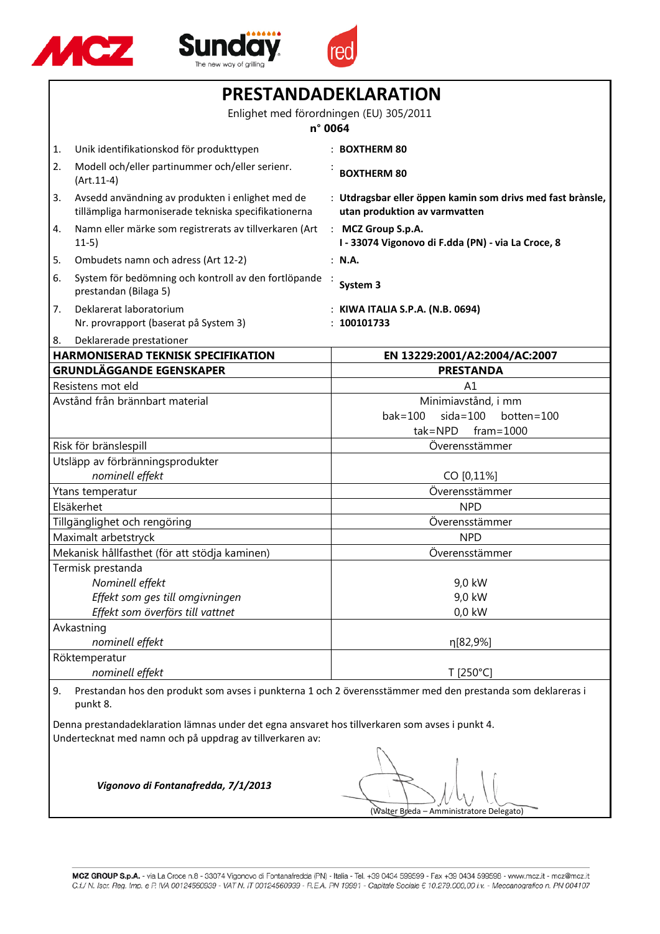





| PRESTANDADEKLARATION                                                                                                                                        |                                                                                                          |                                                                                             |  |
|-------------------------------------------------------------------------------------------------------------------------------------------------------------|----------------------------------------------------------------------------------------------------------|---------------------------------------------------------------------------------------------|--|
|                                                                                                                                                             | Enlighet med förordningen (EU) 305/2011<br>n° 0064                                                       |                                                                                             |  |
| 1.                                                                                                                                                          | Unik identifikationskod för produkttypen                                                                 | : BOXTHERM 80                                                                               |  |
| 2.                                                                                                                                                          | Modell och/eller partinummer och/eller serienr.<br>$(Art.11-4)$                                          | <b>BOXTHERM 80</b>                                                                          |  |
| 3.                                                                                                                                                          | Avsedd användning av produkten i enlighet med de<br>tillämpliga harmoniserade tekniska specifikationerna | : Utdragsbar eller öppen kamin som drivs med fast brànsle,<br>utan produktion av varmvatten |  |
| 4.                                                                                                                                                          | Namn eller märke som registrerats av tillverkaren (Art<br>$11-5)$                                        | : MCZ Group S.p.A.<br>I - 33074 Vigonovo di F.dda (PN) - via La Croce, 8                    |  |
| 5.                                                                                                                                                          | Ombudets namn och adress (Art 12-2)                                                                      | : N.A.                                                                                      |  |
| 6.                                                                                                                                                          | System för bedömning och kontroll av den fortlöpande<br>prestandan (Bilaga 5)                            | System 3                                                                                    |  |
| 7.                                                                                                                                                          | Deklarerat laboratorium<br>Nr. provrapport (baserat på System 3)                                         | : KIWA ITALIA S.P.A. (N.B. 0694)<br>100101733                                               |  |
| 8.                                                                                                                                                          | Deklarerade prestationer                                                                                 |                                                                                             |  |
|                                                                                                                                                             | <b>HARMONISERAD TEKNISK SPECIFIKATION</b>                                                                | EN 13229:2001/A2:2004/AC:2007                                                               |  |
|                                                                                                                                                             | <b>GRUNDLÄGGANDE EGENSKAPER</b>                                                                          | <b>PRESTANDA</b>                                                                            |  |
|                                                                                                                                                             | Resistens mot eld                                                                                        | A1                                                                                          |  |
|                                                                                                                                                             | Avstånd från brännbart material                                                                          | Minimiavstånd, i mm                                                                         |  |
|                                                                                                                                                             |                                                                                                          | $bak = 100$<br>$sida=100$<br>botten=100<br>$tak = NPD$<br>$frame = 1000$                    |  |
|                                                                                                                                                             | Risk för bränslespill                                                                                    | Överensstämmer                                                                              |  |
| Utsläpp av förbränningsprodukter                                                                                                                            |                                                                                                          |                                                                                             |  |
| nominell effekt                                                                                                                                             |                                                                                                          | CO [0,11%]                                                                                  |  |
| Ytans temperatur                                                                                                                                            |                                                                                                          | Överensstämmer                                                                              |  |
| Elsäkerhet                                                                                                                                                  |                                                                                                          | <b>NPD</b>                                                                                  |  |
| Tillgänglighet och rengöring                                                                                                                                |                                                                                                          | Överensstämmer                                                                              |  |
|                                                                                                                                                             | Maximalt arbetstryck                                                                                     | <b>NPD</b>                                                                                  |  |
|                                                                                                                                                             | Mekanisk hållfasthet (för att stödja kaminen)                                                            | Överensstämmer                                                                              |  |
|                                                                                                                                                             | Termisk prestanda                                                                                        |                                                                                             |  |
|                                                                                                                                                             | Nominell effekt                                                                                          | 9,0 kW                                                                                      |  |
|                                                                                                                                                             | Effekt som ges till omgivningen                                                                          | 9,0 kW                                                                                      |  |
| Effekt som överförs till vattnet                                                                                                                            |                                                                                                          | $0,0$ kW                                                                                    |  |
|                                                                                                                                                             | Avkastning                                                                                               |                                                                                             |  |
| nominell effekt                                                                                                                                             |                                                                                                          | η[82,9%]                                                                                    |  |
|                                                                                                                                                             | Röktemperatur                                                                                            |                                                                                             |  |
|                                                                                                                                                             | nominell effekt<br>T [250°C]                                                                             |                                                                                             |  |
| Prestandan hos den produkt som avses i punkterna 1 och 2 överensstämmer med den prestanda som deklareras i<br>9.<br>punkt 8.                                |                                                                                                          |                                                                                             |  |
| Denna prestandadeklaration lämnas under det egna ansvaret hos tillverkaren som avses i punkt 4.<br>Undertecknat med namn och på uppdrag av tillverkaren av: |                                                                                                          |                                                                                             |  |
|                                                                                                                                                             |                                                                                                          |                                                                                             |  |

(Walter Breda – Amministratore Delegato)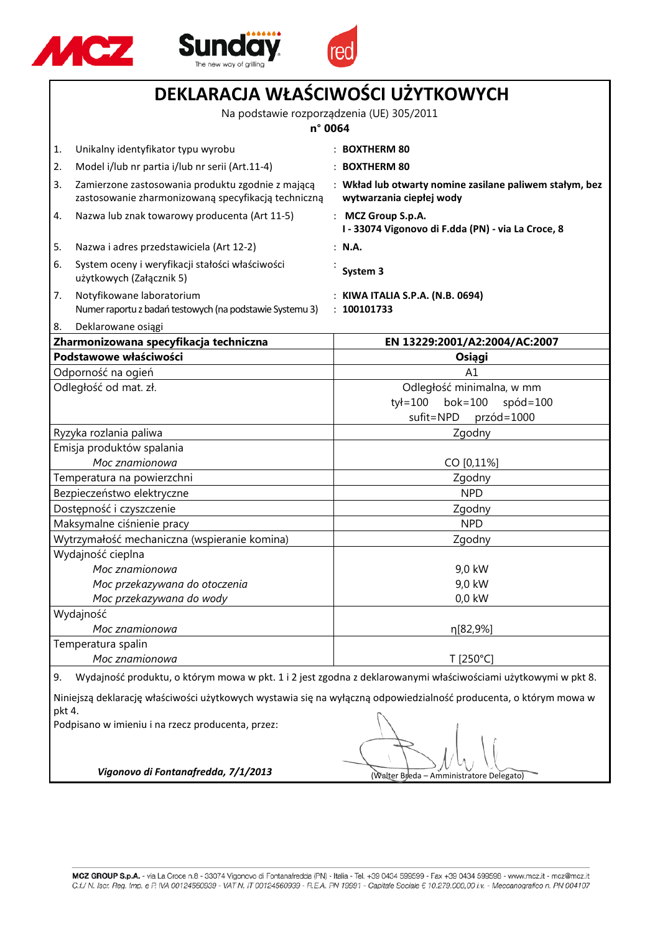





|                                                                             | DEKLARACJA WŁAŚCIWOŚCI UŻYTKOWYCH                                                                        |                                                                                                                   |  |
|-----------------------------------------------------------------------------|----------------------------------------------------------------------------------------------------------|-------------------------------------------------------------------------------------------------------------------|--|
|                                                                             | Na podstawie rozporządzenia (UE) 305/2011<br>n° 0064                                                     |                                                                                                                   |  |
| 1.                                                                          | Unikalny identyfikator typu wyrobu                                                                       | : BOXTHERM 80                                                                                                     |  |
| 2.                                                                          | Model i/lub nr partia i/lub nr serii (Art.11-4)                                                          | $:$ BOXTHERM 80                                                                                                   |  |
| 3.                                                                          | Zamierzone zastosowania produktu zgodnie z mającą<br>zastosowanie zharmonizowaną specyfikacją techniczną | : Wkład lub otwarty nomine zasilane paliwem stałym, bez<br>wytwarzania ciepłej wody                               |  |
| 4.                                                                          | Nazwa lub znak towarowy producenta (Art 11-5)                                                            | : MCZ Group S.p.A.<br>I - 33074 Vigonovo di F.dda (PN) - via La Croce, 8                                          |  |
| 5.                                                                          | Nazwa i adres przedstawiciela (Art 12-2)                                                                 | : N.A.                                                                                                            |  |
| 6.                                                                          | System oceny i weryfikacji stałości właściwości<br>użytkowych (Załącznik 5)                              | System 3                                                                                                          |  |
| 7.                                                                          | Notyfikowane laboratorium<br>Numer raportu z badań testowych (na podstawie Systemu 3)                    | : KIWA ITALIA S.P.A. (N.B. 0694)<br>: 100101733                                                                   |  |
| 8.                                                                          | Deklarowane osiągi                                                                                       |                                                                                                                   |  |
|                                                                             | Zharmonizowana specyfikacja techniczna                                                                   | EN 13229:2001/A2:2004/AC:2007                                                                                     |  |
|                                                                             | Podstawowe właściwości                                                                                   | Osiągi                                                                                                            |  |
|                                                                             | Odporność na ogień                                                                                       | A1                                                                                                                |  |
|                                                                             | Odległość od mat. zł.                                                                                    | Odległość minimalna, w mm                                                                                         |  |
|                                                                             |                                                                                                          | $ty = 100$<br>$b$ ok=100<br>$spód=100$                                                                            |  |
|                                                                             |                                                                                                          | przód=1000<br>sufit=NPD                                                                                           |  |
|                                                                             | Ryzyka rozlania paliwa                                                                                   | Zgodny                                                                                                            |  |
| Emisja produktów spalania                                                   |                                                                                                          |                                                                                                                   |  |
|                                                                             | Moc znamionowa                                                                                           | CO [0,11%]                                                                                                        |  |
| Temperatura na powierzchni                                                  |                                                                                                          | Zgodny                                                                                                            |  |
| Bezpieczeństwo elektryczne                                                  |                                                                                                          | <b>NPD</b>                                                                                                        |  |
| Dostępność i czyszczenie                                                    |                                                                                                          | Zgodny<br><b>NPD</b>                                                                                              |  |
| Maksymalne ciśnienie pracy                                                  |                                                                                                          |                                                                                                                   |  |
| Wytrzymałość mechaniczna (wspieranie komina)<br>Zgodny<br>Wydajność cieplna |                                                                                                          |                                                                                                                   |  |
|                                                                             | Moc znamionowa                                                                                           | 9,0 kW                                                                                                            |  |
|                                                                             | Moc przekazywana do otoczenia                                                                            | 9,0 kW                                                                                                            |  |
|                                                                             | Moc przekazywana do wody                                                                                 | 0,0 kW                                                                                                            |  |
|                                                                             | Wydajność                                                                                                |                                                                                                                   |  |
|                                                                             | Moc znamionowa                                                                                           | η[82,9%]                                                                                                          |  |
|                                                                             | Temperatura spalin                                                                                       |                                                                                                                   |  |
|                                                                             | Moc znamionowa                                                                                           | T [250°C]                                                                                                         |  |
| 9.                                                                          |                                                                                                          | Wydajność produktu, o którym mowa w pkt. 1 i 2 jest zgodna z deklarowanymi właściwościami użytkowymi w pkt 8.     |  |
|                                                                             |                                                                                                          | Niniejszą deklarację właściwości użytkowych wystawia się na wyłączną odpowiedzialność producenta, o którym mowa w |  |
| pkt 4.                                                                      | Podpisano w imieniu i na rzecz producenta, przez:<br>Vigonovo di Fontanafredda, 7/1/2013                 | (Walter Breda - Amministratore Delegato)                                                                          |  |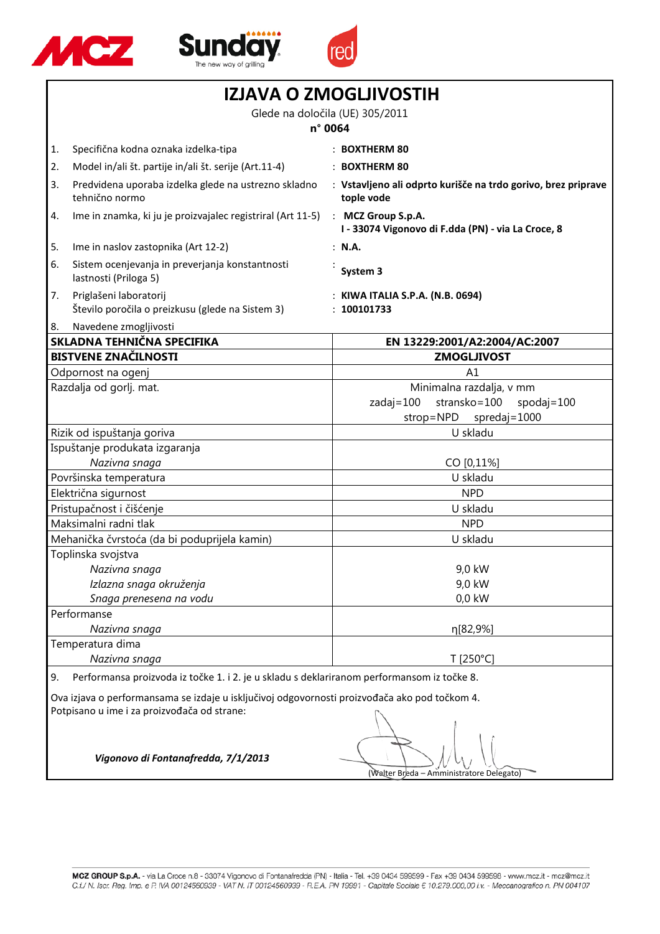

Г





| <b>IZJAVA O ZMOGLJIVOSTIH</b>                                                                                                                |                                                                            |                                                                             |
|----------------------------------------------------------------------------------------------------------------------------------------------|----------------------------------------------------------------------------|-----------------------------------------------------------------------------|
| Glede na določila (UE) 305/2011                                                                                                              |                                                                            |                                                                             |
|                                                                                                                                              |                                                                            | n° 0064                                                                     |
| 1.                                                                                                                                           | Specifična kodna oznaka izdelka-tipa                                       | <b>BOXTHERM 80</b>                                                          |
| 2.                                                                                                                                           | Model in/ali št. partije in/ali št. serije (Art.11-4)                      | : BOXTHERM 80                                                               |
| 3.                                                                                                                                           | Predvidena uporaba izdelka glede na ustrezno skladno<br>tehnično normo     | : Vstavljeno ali odprto kurišče na trdo gorivo, brez priprave<br>tople vode |
| 4.                                                                                                                                           | Ime in znamka, ki ju je proizvajalec registriral (Art 11-5)                | : MCZ Group S.p.A.<br>I - 33074 Vigonovo di F.dda (PN) - via La Croce, 8    |
| 5.                                                                                                                                           | Ime in naslov zastopnika (Art 12-2)                                        | : N.A.                                                                      |
| 6.                                                                                                                                           | Sistem ocenjevanja in preverjanja konstantnosti<br>lastnosti (Priloga 5)   | System 3                                                                    |
| 7.                                                                                                                                           | Priglašeni laboratorij<br>Število poročila o preizkusu (glede na Sistem 3) | KIWA ITALIA S.P.A. (N.B. 0694)<br>100101733                                 |
| 8.                                                                                                                                           | Navedene zmogljivosti                                                      |                                                                             |
|                                                                                                                                              | SKLADNA TEHNIČNA SPECIFIKA                                                 | EN 13229:2001/A2:2004/AC:2007                                               |
|                                                                                                                                              | <b>BISTVENE ZNAČILNOSTI</b>                                                | <b>ZMOGLJIVOST</b>                                                          |
|                                                                                                                                              | Odpornost na ogenj                                                         | A1                                                                          |
|                                                                                                                                              | Razdalja od gorlj. mat.                                                    | Minimalna razdalja, v mm                                                    |
|                                                                                                                                              |                                                                            | $zadaj=100$<br>stransko=100<br>spodaj= $100$<br>strop=NPD<br>spredaj=1000   |
|                                                                                                                                              | Rizik od ispuštanja goriva                                                 | U skladu                                                                    |
|                                                                                                                                              | Ispuštanje produkata izgaranja                                             |                                                                             |
| Nazivna snaga                                                                                                                                |                                                                            | CO [0,11%]                                                                  |
| Površinska temperatura                                                                                                                       |                                                                            | U skladu                                                                    |
| Električna sigurnost                                                                                                                         |                                                                            | <b>NPD</b>                                                                  |
| Pristupačnost i čišćenje                                                                                                                     |                                                                            | U skladu                                                                    |
| Maksimalni radni tlak                                                                                                                        |                                                                            | <b>NPD</b>                                                                  |
|                                                                                                                                              | Mehanička čvrstoća (da bi poduprijela kamin)                               | U skladu                                                                    |
|                                                                                                                                              | Toplinska svojstva                                                         |                                                                             |
|                                                                                                                                              | Nazivna snaga                                                              | 9,0 kW                                                                      |
|                                                                                                                                              | Izlazna snaga okruženja                                                    | 9,0 kW                                                                      |
|                                                                                                                                              | Snaga prenesena na vodu                                                    | $0,0$ kW                                                                    |
|                                                                                                                                              | Performanse                                                                |                                                                             |
|                                                                                                                                              | Nazivna snaga<br>n[82,9%]                                                  |                                                                             |
|                                                                                                                                              | Temperatura dima                                                           |                                                                             |
|                                                                                                                                              | Nazivna snaga<br>T [250°C]                                                 |                                                                             |
| Performansa proizvoda iz točke 1. i 2. je u skladu s deklariranom performansom iz točke 8.<br>9.                                             |                                                                            |                                                                             |
| Ova izjava o performansama se izdaje u isključivoj odgovornosti proizvođača ako pod točkom 4.<br>Potpisano u ime i za proizvođača od strane: |                                                                            |                                                                             |
| Vigonovo di Fontanafredda, 7/1/2013<br>(Walter Breda - Amministratore Delegato)                                                              |                                                                            |                                                                             |